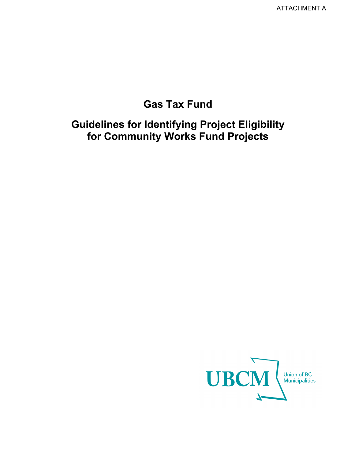# **Gas Tax Fund**

# **Guidelines for Identifying Project Eligibility for Community Works Fund Projects**

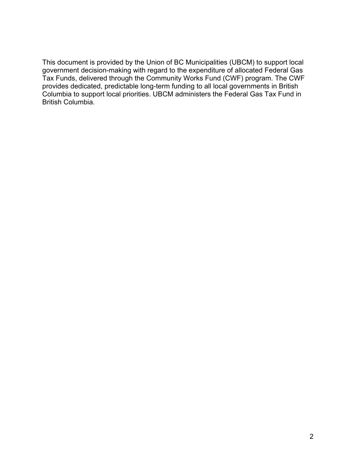This document is provided by the Union of BC Municipalities (UBCM) to support local government decision-making with regard to the expenditure of allocated Federal Gas Tax Funds, delivered through the Community Works Fund (CWF) program. The CWF provides dedicated, predictable long-term funding to all local governments in British Columbia to support local priorities. UBCM administers the Federal Gas Tax Fund in British Columbia.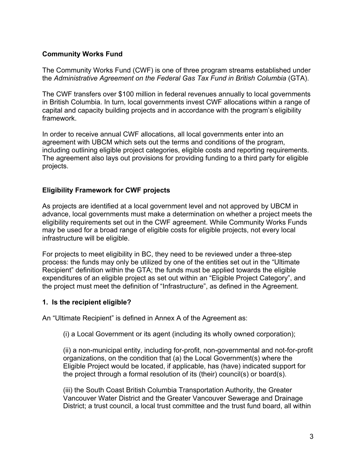### **Community Works Fund**

The Community Works Fund (CWF) is one of three program streams established under the *Administrative Agreement on the Federal Gas Tax Fund in British Columbia* (GTA).

The CWF transfers over \$100 million in federal revenues annually to local governments in British Columbia. In turn, local governments invest CWF allocations within a range of capital and capacity building projects and in accordance with the program's eligibility framework.

In order to receive annual CWF allocations, all local governments enter into an agreement with UBCM which sets out the terms and conditions of the program, including outlining eligible project categories, eligible costs and reporting requirements. The agreement also lays out provisions for providing funding to a third party for eligible projects.

### **Eligibility Framework for CWF projects**

As projects are identified at a local government level and not approved by UBCM in advance, local governments must make a determination on whether a project meets the eligibility requirements set out in the CWF agreement. While Community Works Funds may be used for a broad range of eligible costs for eligible projects, not every local infrastructure will be eligible.

For projects to meet eligibility in BC, they need to be reviewed under a three-step process: the funds may only be utilized by one of the entities set out in the "Ultimate Recipient" definition within the GTA; the funds must be applied towards the eligible expenditures of an eligible project as set out within an "Eligible Project Category", and the project must meet the definition of "Infrastructure", as defined in the Agreement.

### **1. Is the recipient eligible?**

An "Ultimate Recipient" is defined in Annex A of the Agreement as:

(i) a Local Government or its agent (including its wholly owned corporation);

(ii) a non-municipal entity, including for-profit, non-governmental and not-for-profit organizations, on the condition that (a) the Local Government(s) where the Eligible Project would be located, if applicable, has (have) indicated support for the project through a formal resolution of its (their) council(s) or board(s).

(iii) the South Coast British Columbia Transportation Authority, the Greater Vancouver Water District and the Greater Vancouver Sewerage and Drainage District; a trust council, a local trust committee and the trust fund board, all within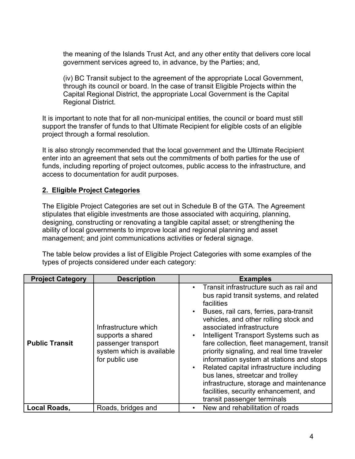the meaning of the Islands Trust Act, and any other entity that delivers core local government services agreed to, in advance, by the Parties; and,

(iv) BC Transit subject to the agreement of the appropriate Local Government, through its council or board. In the case of transit Eligible Projects within the Capital Regional District, the appropriate Local Government is the Capital Regional District.

It is important to note that for all non-municipal entities, the council or board must still support the transfer of funds to that Ultimate Recipient for eligible costs of an eligible project through a formal resolution.

It is also strongly recommended that the local government and the Ultimate Recipient enter into an agreement that sets out the commitments of both parties for the use of funds, including reporting of project outcomes, public access to the infrastructure, and access to documentation for audit purposes.

## **2. Eligible Project Categories**

The Eligible Project Categories are set out in Schedule B of the GTA. The Agreement stipulates that eligible investments are those associated with acquiring, planning, designing, constructing or renovating a tangible capital asset; or strengthening the ability of local governments to improve local and regional planning and asset management; and joint communications activities or federal signage.

The table below provides a list of Eligible Project Categories with some examples of the types of projects considered under each category:

| <b>Project Category</b> | <b>Description</b>                                                                                              | <b>Examples</b>                                                                                                                                                                                                                                                                                                                                                                                                                                                                                                                                                                                                                                          |
|-------------------------|-----------------------------------------------------------------------------------------------------------------|----------------------------------------------------------------------------------------------------------------------------------------------------------------------------------------------------------------------------------------------------------------------------------------------------------------------------------------------------------------------------------------------------------------------------------------------------------------------------------------------------------------------------------------------------------------------------------------------------------------------------------------------------------|
| <b>Public Transit</b>   | Infrastructure which<br>supports a shared<br>passenger transport<br>system which is available<br>for public use | Transit infrastructure such as rail and<br>$\bullet$<br>bus rapid transit systems, and related<br>facilities<br>Buses, rail cars, ferries, para-transit<br>$\bullet$<br>vehicles, and other rolling stock and<br>associated infrastructure<br>Intelligent Transport Systems such as<br>$\bullet$<br>fare collection, fleet management, transit<br>priority signaling, and real time traveler<br>information system at stations and stops<br>Related capital infrastructure including<br>$\bullet$<br>bus lanes, streetcar and trolley<br>infrastructure, storage and maintenance<br>facilities, security enhancement, and<br>transit passenger terminals |
| <b>Local Roads,</b>     | Roads, bridges and                                                                                              | New and rehabilitation of roads                                                                                                                                                                                                                                                                                                                                                                                                                                                                                                                                                                                                                          |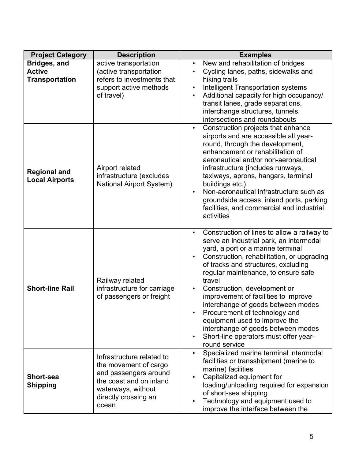| <b>Project Category</b>                                       | <b>Description</b>                                                                                                                                            | <b>Examples</b>                                                                                                                                                                                                                                                                                                                                                                                                                                                                                                                                   |
|---------------------------------------------------------------|---------------------------------------------------------------------------------------------------------------------------------------------------------------|---------------------------------------------------------------------------------------------------------------------------------------------------------------------------------------------------------------------------------------------------------------------------------------------------------------------------------------------------------------------------------------------------------------------------------------------------------------------------------------------------------------------------------------------------|
| <b>Bridges, and</b><br><b>Active</b><br><b>Transportation</b> | active transportation<br>(active transportation<br>refers to investments that<br>support active methods<br>of travel)                                         | New and rehabilitation of bridges<br>$\bullet$<br>Cycling lanes, paths, sidewalks and<br>hiking trails<br><b>Intelligent Transportation systems</b><br>$\bullet$<br>Additional capacity for high occupancy/<br>transit lanes, grade separations,<br>interchange structures, tunnels,<br>intersections and roundabouts                                                                                                                                                                                                                             |
| <b>Regional and</b><br><b>Local Airports</b>                  | Airport related<br>infrastructure (excludes<br><b>National Airport System)</b>                                                                                | Construction projects that enhance<br>airports and are accessible all year-<br>round, through the development,<br>enhancement or rehabilitation of<br>aeronautical and/or non-aeronautical<br>infrastructure (includes runways,<br>taxiways, aprons, hangars, terminal<br>buildings etc.)<br>Non-aeronautical infrastructure such as<br>groundside access, inland ports, parking<br>facilities, and commercial and industrial<br>activities                                                                                                       |
| <b>Short-line Rail</b>                                        | Railway related<br>infrastructure for carriage<br>of passengers or freight                                                                                    | Construction of lines to allow a railway to<br>serve an industrial park, an intermodal<br>yard, a port or a marine terminal<br>Construction, rehabilitation, or upgrading<br>of tracks and structures, excluding<br>regular maintenance, to ensure safe<br>travel<br>Construction, development or<br>improvement of facilities to improve<br>interchange of goods between modes<br>Procurement of technology and<br>equipment used to improve the<br>interchange of goods between modes<br>Short-line operators must offer year-<br>round service |
| <b>Short-sea</b><br><b>Shipping</b>                           | Infrastructure related to<br>the movement of cargo<br>and passengers around<br>the coast and on inland<br>waterways, without<br>directly crossing an<br>ocean | Specialized marine terminal intermodal<br>$\bullet$<br>facilities or transshipment (marine to<br>marine) facilities<br>Capitalized equipment for<br>loading/unloading required for expansion<br>of short-sea shipping<br>Technology and equipment used to<br>improve the interface between the                                                                                                                                                                                                                                                    |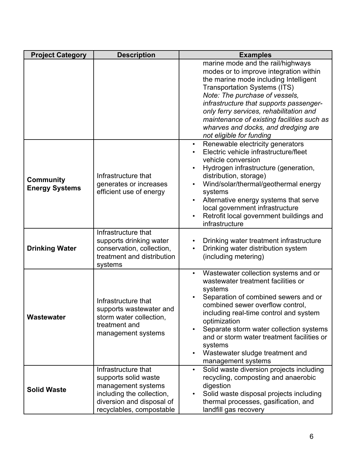| <b>Project Category</b>                   | <b>Description</b>                                                                                                                                      | <b>Examples</b>                                                                                                                                                                                                                                                                                                                                                                                                    |
|-------------------------------------------|---------------------------------------------------------------------------------------------------------------------------------------------------------|--------------------------------------------------------------------------------------------------------------------------------------------------------------------------------------------------------------------------------------------------------------------------------------------------------------------------------------------------------------------------------------------------------------------|
|                                           |                                                                                                                                                         | marine mode and the rail/highways<br>modes or to improve integration within<br>the marine mode including Intelligent<br><b>Transportation Systems (ITS)</b><br>Note: The purchase of vessels,<br>infrastructure that supports passenger-<br>only ferry services, rehabilitation and<br>maintenance of existing facilities such as<br>wharves and docks, and dredging are<br>not eligible for funding               |
| <b>Community</b><br><b>Energy Systems</b> | Infrastructure that<br>generates or increases<br>efficient use of energy                                                                                | Renewable electricity generators<br>$\bullet$<br>Electric vehicle infrastructure/fleet<br>vehicle conversion<br>Hydrogen infrastructure (generation,<br>distribution, storage)<br>Wind/solar/thermal/geothermal energy<br>systems<br>Alternative energy systems that serve<br>local government infrastructure<br>Retrofit local government buildings and<br>infrastructure                                         |
| <b>Drinking Water</b>                     | Infrastructure that<br>supports drinking water<br>conservation, collection,<br>treatment and distribution<br>systems                                    | Drinking water treatment infrastructure<br>Drinking water distribution system<br>(including metering)                                                                                                                                                                                                                                                                                                              |
| Wastewater                                | Infrastructure that<br>supports wastewater and<br>storm water collection,<br>treatment and<br>management systems                                        | Wastewater collection systems and or<br>$\bullet$<br>wastewater treatment facilities or<br>systems<br>Separation of combined sewers and or<br>combined sewer overflow control,<br>including real-time control and system<br>optimization<br>Separate storm water collection systems<br>and or storm water treatment facilities or<br>systems<br>Wastewater sludge treatment and<br>$\bullet$<br>management systems |
| <b>Solid Waste</b>                        | Infrastructure that<br>supports solid waste<br>management systems<br>including the collection,<br>diversion and disposal of<br>recyclables, compostable | Solid waste diversion projects including<br>$\bullet$<br>recycling, composting and anaerobic<br>digestion<br>Solid waste disposal projects including<br>thermal processes, gasification, and<br>landfill gas recovery                                                                                                                                                                                              |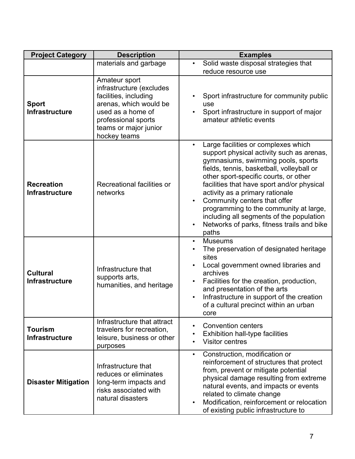| <b>Project Category</b>                    | <b>Description</b>                                                                                                                                                                | <b>Examples</b>                                                                                                                                                                                                                                                                                                                                                                                                                                                                         |
|--------------------------------------------|-----------------------------------------------------------------------------------------------------------------------------------------------------------------------------------|-----------------------------------------------------------------------------------------------------------------------------------------------------------------------------------------------------------------------------------------------------------------------------------------------------------------------------------------------------------------------------------------------------------------------------------------------------------------------------------------|
|                                            | materials and garbage                                                                                                                                                             | Solid waste disposal strategies that<br>reduce resource use                                                                                                                                                                                                                                                                                                                                                                                                                             |
| <b>Sport</b><br><b>Infrastructure</b>      | Amateur sport<br>infrastructure (excludes<br>facilities, including<br>arenas, which would be<br>used as a home of<br>professional sports<br>teams or major junior<br>hockey teams | Sport infrastructure for community public<br>use<br>Sport infrastructure in support of major<br>amateur athletic events                                                                                                                                                                                                                                                                                                                                                                 |
| <b>Recreation</b><br><b>Infrastructure</b> | Recreational facilities or<br>networks                                                                                                                                            | Large facilities or complexes which<br>support physical activity such as arenas,<br>gymnasiums, swimming pools, sports<br>fields, tennis, basketball, volleyball or<br>other sport-specific courts, or other<br>facilities that have sport and/or physical<br>activity as a primary rationale<br>Community centers that offer<br>programming to the community at large,<br>including all segments of the population<br>Networks of parks, fitness trails and bike<br>$\bullet$<br>paths |
| <b>Cultural</b><br><b>Infrastructure</b>   | Infrastructure that<br>supports arts,<br>humanities, and heritage                                                                                                                 | <b>Museums</b><br>$\bullet$<br>The preservation of designated heritage<br>sites<br>Local government owned libraries and<br>archives<br>Facilities for the creation, production,<br>and presentation of the arts<br>Infrastructure in support of the creation<br>$\bullet$<br>of a cultural precinct within an urban<br>core                                                                                                                                                             |
| <b>Tourism</b><br><b>Infrastructure</b>    | Infrastructure that attract<br>travelers for recreation,<br>leisure, business or other<br>purposes                                                                                | <b>Convention centers</b><br>$\bullet$<br>Exhibition hall-type facilities<br><b>Visitor centres</b>                                                                                                                                                                                                                                                                                                                                                                                     |
| <b>Disaster Mitigation</b>                 | Infrastructure that<br>reduces or eliminates<br>long-term impacts and<br>risks associated with<br>natural disasters                                                               | Construction, modification or<br>$\bullet$<br>reinforcement of structures that protect<br>from, prevent or mitigate potential<br>physical damage resulting from extreme<br>natural events, and impacts or events<br>related to climate change<br>Modification, reinforcement or relocation<br>$\bullet$<br>of existing public infrastructure to                                                                                                                                         |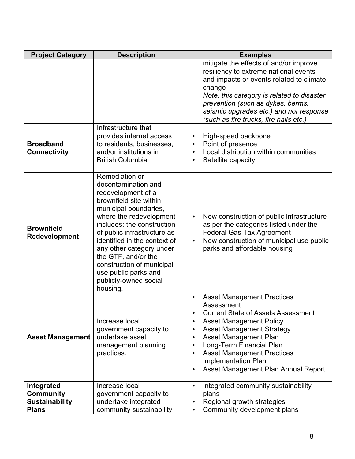| <b>Project Category</b>                                                 | <b>Description</b>                                                                                                                                                                                                                                                                                                                                                                  | <b>Examples</b>                                                                                                                                                                                                                                                                                                                                                                       |
|-------------------------------------------------------------------------|-------------------------------------------------------------------------------------------------------------------------------------------------------------------------------------------------------------------------------------------------------------------------------------------------------------------------------------------------------------------------------------|---------------------------------------------------------------------------------------------------------------------------------------------------------------------------------------------------------------------------------------------------------------------------------------------------------------------------------------------------------------------------------------|
|                                                                         |                                                                                                                                                                                                                                                                                                                                                                                     | mitigate the effects of and/or improve<br>resiliency to extreme national events<br>and impacts or events related to climate<br>change<br>Note: this category is related to disaster<br>prevention (such as dykes, berms,<br>seismic upgrades etc.) and not response<br>(such as fire trucks, fire halls etc.)                                                                         |
| <b>Broadband</b><br><b>Connectivity</b>                                 | Infrastructure that<br>provides internet access<br>to residents, businesses,<br>and/or institutions in<br><b>British Columbia</b>                                                                                                                                                                                                                                                   | High-speed backbone<br>Point of presence<br>Local distribution within communities<br>Satellite capacity                                                                                                                                                                                                                                                                               |
| <b>Brownfield</b><br>Redevelopment                                      | Remediation or<br>decontamination and<br>redevelopment of a<br>brownfield site within<br>municipal boundaries,<br>where the redevelopment<br>includes: the construction<br>of public infrastructure as<br>identified in the context of<br>any other category under<br>the GTF, and/or the<br>construction of municipal<br>use public parks and<br>publicly-owned social<br>housing. | New construction of public infrastructure<br>as per the categories listed under the<br><b>Federal Gas Tax Agreement</b><br>New construction of municipal use public<br>parks and affordable housing                                                                                                                                                                                   |
| <b>Asset Management</b>                                                 | Increase local<br>government capacity to<br>undertake asset<br>management planning<br>practices.                                                                                                                                                                                                                                                                                    | <b>Asset Management Practices</b><br>Assessment<br><b>Current State of Assets Assessment</b><br><b>Asset Management Policy</b><br><b>Asset Management Strategy</b><br>$\bullet$<br>Asset Management Plan<br>$\bullet$<br>Long-Term Financial Plan<br>$\bullet$<br><b>Asset Management Practices</b><br>$\bullet$<br><b>Implementation Plan</b><br>Asset Management Plan Annual Report |
| Integrated<br><b>Community</b><br><b>Sustainability</b><br><b>Plans</b> | Increase local<br>government capacity to<br>undertake integrated<br>community sustainability                                                                                                                                                                                                                                                                                        | Integrated community sustainability<br>plans<br>Regional growth strategies<br>Community development plans                                                                                                                                                                                                                                                                             |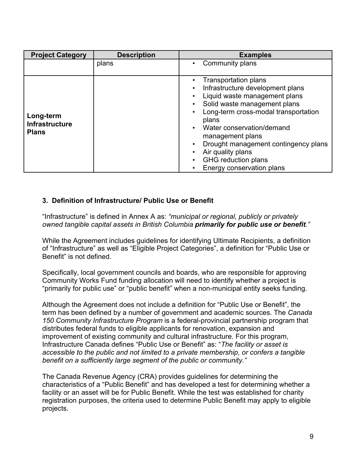| <b>Project Category</b>                            | <b>Description</b> | <b>Examples</b>                                                                                                                                                                                                                                                                                                                                     |
|----------------------------------------------------|--------------------|-----------------------------------------------------------------------------------------------------------------------------------------------------------------------------------------------------------------------------------------------------------------------------------------------------------------------------------------------------|
|                                                    | plans              | Community plans<br>٠                                                                                                                                                                                                                                                                                                                                |
| Long-term<br><b>Infrastructure</b><br><b>Plans</b> |                    | <b>Transportation plans</b><br>Infrastructure development plans<br>Liquid waste management plans<br>Solid waste management plans<br>Long-term cross-modal transportation<br>plans<br>Water conservation/demand<br>management plans<br>Drought management contingency plans<br>Air quality plans<br>GHG reduction plans<br>Energy conservation plans |

### **3. Definition of Infrastructure/ Public Use or Benefit**

"Infrastructure" is defined in Annex A as: *"municipal or regional, publicly or privately owned tangible capital assets in British Columbia primarily for public use or benefit."*

While the Agreement includes guidelines for identifying Ultimate Recipients, a definition of "Infrastructure" as well as "Eligible Project Categories", a definition for "Public Use or Benefit" is not defined.

Specifically, local government councils and boards, who are responsible for approving Community Works Fund funding allocation will need to identify whether a project is "primarily for public use" or "public benefit" when a non-municipal entity seeks funding.

Although the Agreement does not include a definition for "Public Use or Benefit", the term has been defined by a number of government and academic sources. The *Canada 150 Community Infrastructure Program* is a federal-provincial partnership program that distributes federal funds to eligible applicants for renovation, expansion and improvement of existing community and cultural infrastructure. For this program, Infrastructure Canada defines "Public Use or Benefit" as: "*The facility or asset is accessible to the public and not limited to a private membership, or confers a tangible benefit on a sufficiently large segment of the public or community."*

The Canada Revenue Agency (CRA) provides guidelines for determining the characteristics of a "Public Benefit" and has developed a test for determining whether a facility or an asset will be for Public Benefit. While the test was established for charity registration purposes, the criteria used to determine Public Benefit may apply to eligible projects.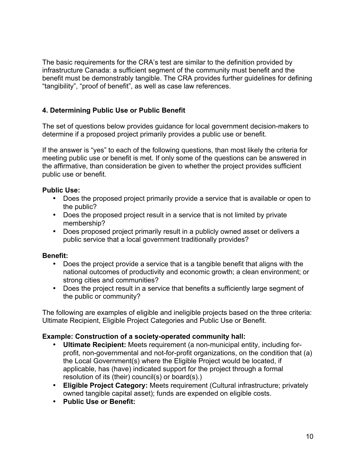The basic requirements for the CRA's test are similar to the definition provided by infrastructure Canada: a sufficient segment of the community must benefit and the benefit must be demonstrably tangible. The CRA provides further guidelines for defining "tangibility", "proof of benefit", as well as case law references.

# **4. Determining Public Use or Public Benefit**

The set of questions below provides guidance for local government decision-makers to determine if a proposed project primarily provides a public use or benefit.

If the answer is "yes" to each of the following questions, than most likely the criteria for meeting public use or benefit is met. If only some of the questions can be answered in the affirmative, than consideration be given to whether the project provides sufficient public use or benefit.

## **Public Use:**

- Does the proposed project primarily provide a service that is available or open to the public?
- Does the proposed project result in a service that is not limited by private membership?
- Does proposed project primarily result in a publicly owned asset or delivers a public service that a local government traditionally provides?

# **Benefit:**

- Does the project provide a service that is a tangible benefit that aligns with the national outcomes of productivity and economic growth; a clean environment; or strong cities and communities?
- Does the project result in a service that benefits a sufficiently large segment of the public or community?

The following are examples of eligible and ineligible projects based on the three criteria: Ultimate Recipient, Eligible Project Categories and Public Use or Benefit.

# **Example: Construction of a society-operated community hall:**

- **Ultimate Recipient:** Meets requirement (a non-municipal entity, including forprofit, non-governmental and not-for-profit organizations, on the condition that (a) the Local Government(s) where the Eligible Project would be located, if applicable, has (have) indicated support for the project through a formal resolution of its (their) council(s) or board(s).)
- **Eligible Project Category:** Meets requirement (Cultural infrastructure; privately owned tangible capital asset); funds are expended on eligible costs.
- **Public Use or Benefit:**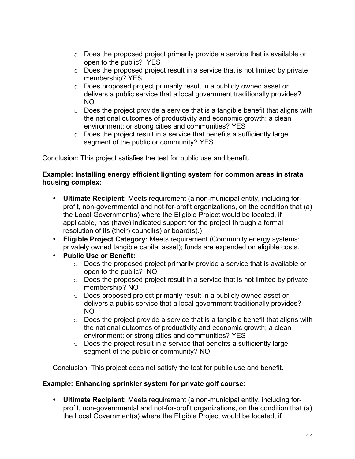- o Does the proposed project primarily provide a service that is available or open to the public? YES
- $\circ$  Does the proposed project result in a service that is not limited by private membership? YES
- o Does proposed project primarily result in a publicly owned asset or delivers a public service that a local government traditionally provides? NO
- $\circ$  Does the project provide a service that is a tangible benefit that aligns with the national outcomes of productivity and economic growth; a clean environment; or strong cities and communities? YES
- $\circ$  Does the project result in a service that benefits a sufficiently large segment of the public or community? YES

Conclusion: This project satisfies the test for public use and benefit.

#### **Example: Installing energy efficient lighting system for common areas in strata housing complex:**

- **Ultimate Recipient:** Meets requirement (a non-municipal entity, including forprofit, non-governmental and not-for-profit organizations, on the condition that (a) the Local Government(s) where the Eligible Project would be located, if applicable, has (have) indicated support for the project through a formal resolution of its (their) council(s) or board(s).)
- **Eligible Project Category:** Meets requirement (Community energy systems; privately owned tangible capital asset); funds are expended on eligible costs.
- **Public Use or Benefit:**
	- o Does the proposed project primarily provide a service that is available or open to the public? NO
	- o Does the proposed project result in a service that is not limited by private membership? NO
	- o Does proposed project primarily result in a publicly owned asset or delivers a public service that a local government traditionally provides? NO
	- $\circ$  Does the project provide a service that is a tangible benefit that aligns with the national outcomes of productivity and economic growth; a clean environment; or strong cities and communities? YES
	- $\circ$  Does the project result in a service that benefits a sufficiently large segment of the public or community? NO

Conclusion: This project does not satisfy the test for public use and benefit.

# **Example: Enhancing sprinkler system for private golf course:**

• **Ultimate Recipient:** Meets requirement (a non-municipal entity, including forprofit, non-governmental and not-for-profit organizations, on the condition that (a) the Local Government(s) where the Eligible Project would be located, if